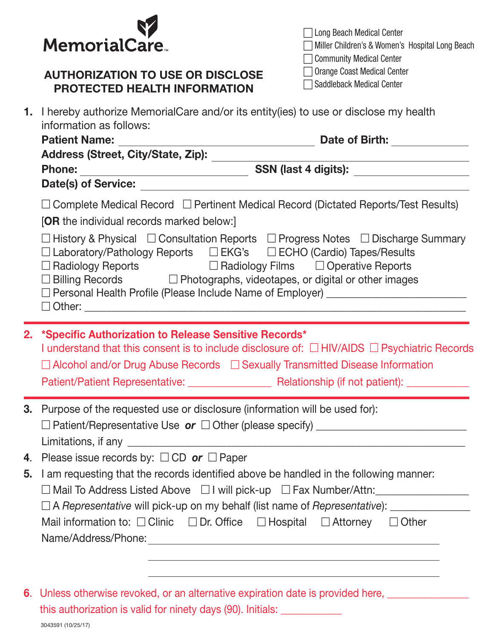

## AUTHORIZATION TO USE OR DISCLOSE PROTECTED HEALTH INFORMATION

| □ Long Beach Medical Center                     |
|-------------------------------------------------|
| Miller Children's & Women's Hospital Long Beach |
| □ Community Medical Center                      |
| □ Orange Coast Medical Center                   |
| □ Saddleback Medical Center                     |

|  | 1. I hereby authorize MemorialCare and/or its entity(ies) to use or disclose my health<br>information as follows:                                                                                                                                                                                                                                                  |  |
|--|--------------------------------------------------------------------------------------------------------------------------------------------------------------------------------------------------------------------------------------------------------------------------------------------------------------------------------------------------------------------|--|
|  | Date of Birth: <u>New York Birth:</u>                                                                                                                                                                                                                                                                                                                              |  |
|  | Address (Street, City/State, Zip): _______                                                                                                                                                                                                                                                                                                                         |  |
|  | <b>Phone:</b>                                                                                                                                                                                                                                                                                                                                                      |  |
|  |                                                                                                                                                                                                                                                                                                                                                                    |  |
|  | $\Box$ Complete Medical Record $\Box$ Pertinent Medical Record (Dictated Reports/Test Results)                                                                                                                                                                                                                                                                     |  |
|  | <b>[OR</b> the individual records marked below:]                                                                                                                                                                                                                                                                                                                   |  |
|  | $\Box$ History & Physical $\Box$ Consultation Reports $\Box$ Progress Notes $\Box$ Discharge Summary<br>□ Laboratory/Pathology Reports □ EKG's □ ECHO (Cardio) Tapes/Results<br>□ Radiology Reports<br>□ Billing Records □ Photographs, videotapes, or digital or other images<br>□ Personal Health Profile (Please Include Name of Employer) ____________________ |  |
|  | 2. *Specific Authorization to Release Sensitive Records*<br>I understand that this consent is to include disclosure of: $\Box$ HIV/AIDS $\Box$ Psychiatric Records<br>$\Box$ Alcohol and/or Drug Abuse Records $\Box$ Sexually Transmitted Disease Information                                                                                                     |  |
|  | 3. Purpose of the requested use or disclosure (information will be used for):                                                                                                                                                                                                                                                                                      |  |
|  | 4. Please issue records by: $\Box$ CD or $\Box$ Paper                                                                                                                                                                                                                                                                                                              |  |
|  | 5. I am requesting that the records identified above be handled in the following manner:                                                                                                                                                                                                                                                                           |  |
|  | □ Mail To Address Listed Above □ I will pick-up □ Fax Number/Attn:                                                                                                                                                                                                                                                                                                 |  |
|  | □ A Representative will pick-up on my behalf (list name of Representative): ___________________________________                                                                                                                                                                                                                                                    |  |
|  | Mail information to: $\Box$ Clinic $\Box$ Dr. Office $\Box$ Hospital $\Box$ Attorney<br>$\Box$ Other                                                                                                                                                                                                                                                               |  |
|  |                                                                                                                                                                                                                                                                                                                                                                    |  |
|  |                                                                                                                                                                                                                                                                                                                                                                    |  |

6. Unless otherwise revoked, or an alternative expiration date is provided here, \_\_\_\_\_\_\_\_\_\_ this authorization is valid for ninety days (90). Initials: \_\_\_\_\_\_\_\_\_\_\_\_\_\_\_\_\_\_\_\_